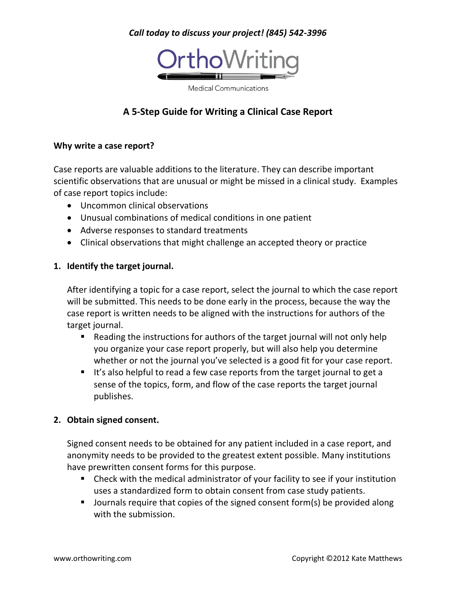## *Call today to discuss your project! (845) 542-3996*



**Medical Communications** 

# **A 5-Step Guide for Writing a Clinical Case Report**

#### **Why write a case report?**

Case reports are valuable additions to the literature. They can describe important scientific observations that are unusual or might be missed in a clinical study. Examples of case report topics include:

- Uncommon clinical observations
- Unusual combinations of medical conditions in one patient
- Adverse responses to standard treatments
- Clinical observations that might challenge an accepted theory or practice

#### **1. Identify the target journal.**

After identifying a topic for a case report, select the journal to which the case report will be submitted. This needs to be done early in the process, because the way the case report is written needs to be aligned with the instructions for authors of the target journal.

- Reading the instructions for authors of the target journal will not only help you organize your case report properly, but will also help you determine whether or not the journal you've selected is a good fit for your case report.
- It's also helpful to read a few case reports from the target journal to get a sense of the topics, form, and flow of the case reports the target journal publishes.

#### **2. Obtain signed consent.**

Signed consent needs to be obtained for any patient included in a case report, and anonymity needs to be provided to the greatest extent possible. Many institutions have prewritten consent forms for this purpose.

- Check with the medical administrator of your facility to see if your institution uses a standardized form to obtain consent from case study patients.
- **Journals require that copies of the signed consent form(s) be provided along** with the submission.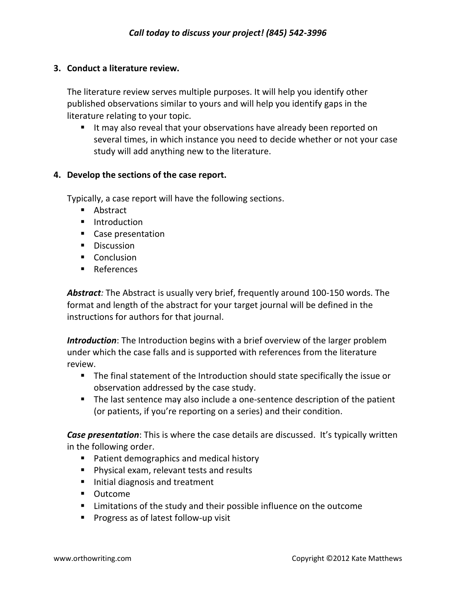#### **3. Conduct a literature review.**

The literature review serves multiple purposes. It will help you identify other published observations similar to yours and will help you identify gaps in the literature relating to your topic.

 It may also reveal that your observations have already been reported on several times, in which instance you need to decide whether or not your case study will add anything new to the literature.

### **4. Develop the sections of the case report.**

Typically, a case report will have the following sections.

- **Abstract**
- **Introduction**
- **Case presentation**
- **Discussion**
- Conclusion
- References

*Abstract:* The Abstract is usually very brief, frequently around 100-150 words. The format and length of the abstract for your target journal will be defined in the instructions for authors for that journal.

*Introduction*: The Introduction begins with a brief overview of the larger problem under which the case falls and is supported with references from the literature review.

- The final statement of the Introduction should state specifically the issue or observation addressed by the case study.
- The last sentence may also include a one-sentence description of the patient (or patients, if you're reporting on a series) and their condition.

*Case presentation*: This is where the case details are discussed. It's typically written in the following order.

- **Patient demographics and medical history**
- **Physical exam, relevant tests and results**
- Initial diagnosis and treatment
- Outcome
- Limitations of the study and their possible influence on the outcome
- **Progress as of latest follow-up visit**